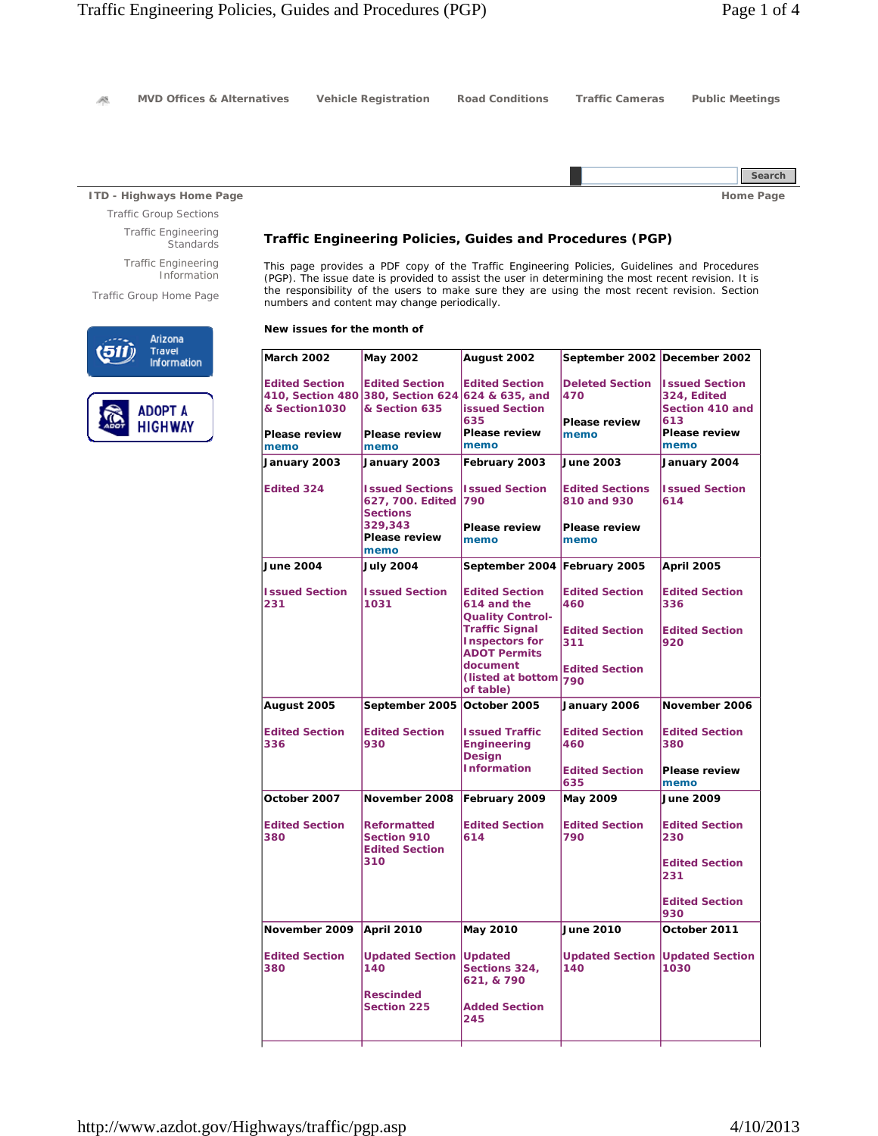**MVD Offices & Alternatives Vehicle Registration Road Conditions Traffic Cameras Public Meetings** AS. **Search ITD - Highways Home Page Home Page Home Page Home Page Home Page Home Page Home Page** 

Traffic Group Sections Traffic Engineering Standards

Traffic Engineering Information

Traffic Group Home Page





## **Traffic Engineering Policies, Guides and Procedures (PGP)**

This page provides a PDF copy of the Traffic Engineering Policies, Guidelines and Procedures (PGP). The issue date is provided to assist the user in determining the most recent revision. It is the responsibility of the users to make sure they are using the most recent revision. Section numbers and content may change periodically.

## **New issues for the month of**

| <b>March 2002</b>                                          | May 2002                                                                  | August 2002                                                           | September 2002 December 2002          |                                                                |
|------------------------------------------------------------|---------------------------------------------------------------------------|-----------------------------------------------------------------------|---------------------------------------|----------------------------------------------------------------|
| <b>Edited Section</b><br>410, Section 480<br>& Section1030 | <b>Edited Section</b><br>380, Section 624 624 & 635, and<br>& Section 635 | <b>Edited Section</b><br><b>issued Section</b><br>635                 | <b>Deleted Section</b><br>470         | <b>Issued Section</b><br>324, Edited<br>Section 410 and<br>613 |
| Please review<br>memo                                      | Please review<br>memo                                                     | <b>Please review</b><br>memo                                          | Please review<br>memo                 | <b>Please review</b><br>memo                                   |
| January 2003                                               | January 2003                                                              | February 2003                                                         | <b>June 2003</b>                      | January 2004                                                   |
| <b>Edited 324</b>                                          | <b>Issued Sections</b><br>627, 700. Edited 790<br><b>Sections</b>         | <b>Issued Section</b>                                                 | <b>Edited Sections</b><br>810 and 930 | <b>Issued Section</b><br>614                                   |
|                                                            | 329,343<br>Please review<br>memo                                          | <b>Please review</b><br>memo                                          | <b>Please review</b><br>memo          |                                                                |
| June 2004                                                  | <b>July 2004</b>                                                          | September 2004 February 2005                                          |                                       | <b>April 2005</b>                                              |
| <b>Issued Section</b><br>231                               | <b>Issued Section</b><br>1031                                             | <b>Edited Section</b><br>614 and the<br><b>Quality Control-</b>       | <b>Edited Section</b><br>460          | <b>Edited Section</b><br>336                                   |
|                                                            |                                                                           | <b>Traffic Signal</b><br><b>Inspectors for</b><br><b>ADOT Permits</b> | <b>Edited Section</b><br>311          | <b>Edited Section</b><br>920                                   |
|                                                            |                                                                           | document<br>(listed at bottom)<br>of table)                           | <b>Edited Section</b><br>790          |                                                                |
| August 2005                                                | September 2005 October 2005                                               |                                                                       | January 2006                          | November 2006                                                  |
| <b>Edited Section</b>                                      | <b>Edited Section</b>                                                     | <b>Issued Traffic</b>                                                 | <b>Edited Section</b>                 | <b>Edited Section</b>                                          |
| 336                                                        | 930                                                                       | <b>Engineering</b><br><b>Design</b>                                   | 460                                   | 380                                                            |
|                                                            |                                                                           | <b>Information</b>                                                    | <b>Edited Section</b><br>635          | Please review<br>memo                                          |
| October 2007                                               | November 2008                                                             | February 2009                                                         | May 2009                              | <b>June 2009</b>                                               |
| <b>Edited Section</b><br>380                               | <b>Reformatted</b><br>Section 910<br><b>Edited Section</b>                | <b>Edited Section</b><br>614                                          | <b>Edited Section</b><br>790          | <b>Edited Section</b><br>230                                   |
|                                                            | 310                                                                       |                                                                       |                                       | <b>Edited Section</b><br>231                                   |
|                                                            |                                                                           |                                                                       |                                       | <b>Edited Section</b><br>930                                   |
| November 2009                                              | <b>April 2010</b>                                                         | May 2010                                                              | <b>June 2010</b>                      | October 2011                                                   |
| <b>Edited Section</b><br>380                               | Updated Section<br>140                                                    | <b>Updated</b><br>Sections 324,<br>621, & 790                         | 140                                   | <b>Updated Section Updated Section</b><br>1030                 |
|                                                            | <b>Rescinded</b><br>Section 225                                           | <b>Added Section</b><br>245                                           |                                       |                                                                |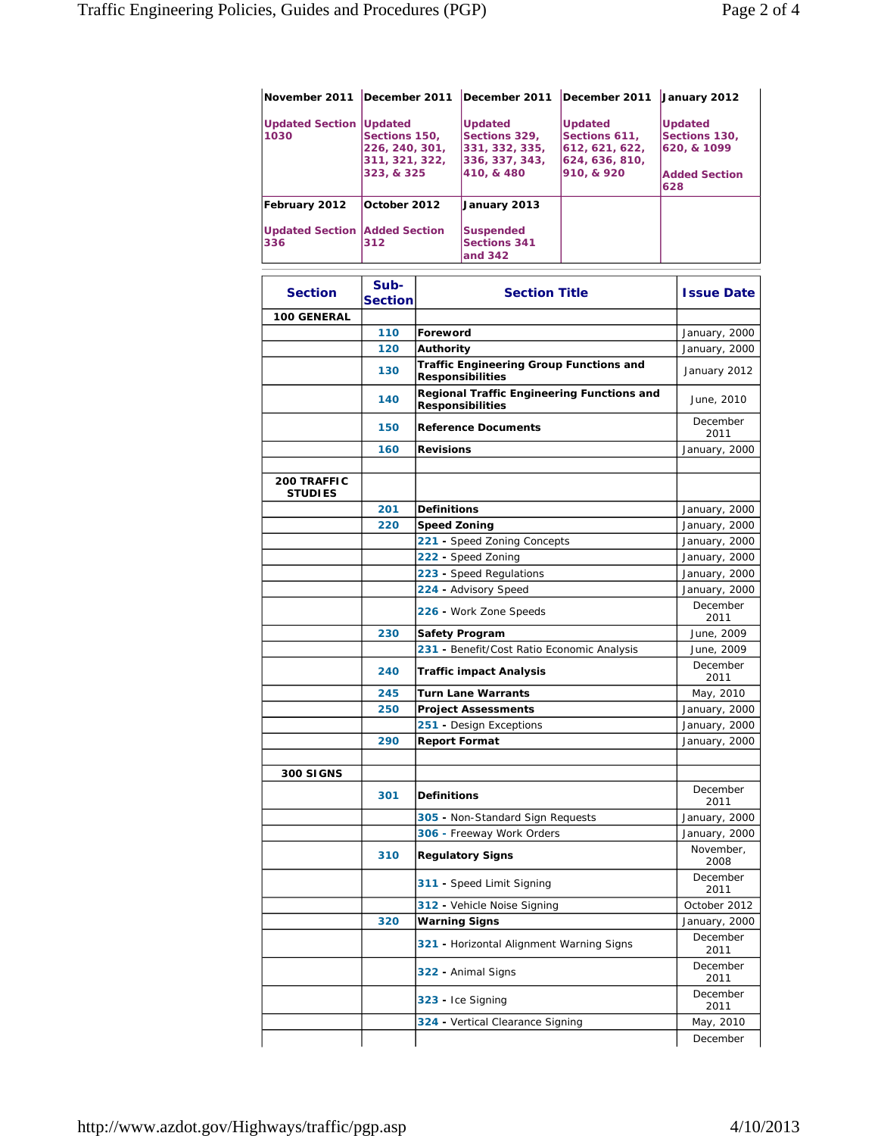| November 2011                               | December 2011                                                   | December 2011                                                                     | December 2011                                                                     | January 2012                                                                         |
|---------------------------------------------|-----------------------------------------------------------------|-----------------------------------------------------------------------------------|-----------------------------------------------------------------------------------|--------------------------------------------------------------------------------------|
| <b>Updated Section Updated</b><br>1030      | Sections 150.<br>226, 240, 301,<br>311, 321, 322,<br>323, & 325 | <b>Updated</b><br>Sections 329,<br>331, 332, 335,<br>336, 337, 343,<br>410, & 480 | <b>Updated</b><br>Sections 611.<br>612, 621, 622,<br>624, 636, 810,<br>910, & 920 | <b>Updated</b><br><b>Sections 130.</b><br>620, & 1099<br><b>Added Section</b><br>628 |
| February 2012                               | October 2012                                                    | January 2013                                                                      |                                                                                   |                                                                                      |
| <b>Updated Section Added Section</b><br>336 | 312                                                             | <b>Suspended</b><br><b>Sections 341</b><br>and 342                                |                                                                                   |                                                                                      |

| <b>Section</b>                       | Sub-<br><b>Section</b> | <b>Section Title</b>                                                      | <b>Issue Date</b> |
|--------------------------------------|------------------------|---------------------------------------------------------------------------|-------------------|
| <b>100 GENERAL</b>                   |                        |                                                                           |                   |
|                                      | 110                    | Foreword                                                                  | January, 2000     |
|                                      | 120                    | <b>Authority</b>                                                          | January, 2000     |
|                                      | 130                    | <b>Traffic Engineering Group Functions and</b><br><b>Responsibilities</b> | January 2012      |
|                                      | 140                    | Regional Traffic Engineering Functions and<br><b>Responsibilities</b>     | June, 2010        |
|                                      | 150                    | <b>Reference Documents</b>                                                | December<br>2011  |
|                                      | 160                    | Revisions                                                                 | January, 2000     |
|                                      |                        |                                                                           |                   |
| <b>200 TRAFFIC</b><br><b>STUDIES</b> |                        |                                                                           |                   |
|                                      | 201                    | <b>Definitions</b>                                                        | January, 2000     |
|                                      | 220                    | <b>Speed Zoning</b>                                                       | January, 2000     |
|                                      |                        | 221 - Speed Zoning Concepts                                               | January, 2000     |
|                                      |                        | 222 - Speed Zoning                                                        | January, 2000     |
|                                      |                        | 223 - Speed Regulations                                                   | January, 2000     |
|                                      |                        | 224 - Advisory Speed                                                      | January, 2000     |
|                                      |                        | 226 - Work Zone Speeds                                                    | December<br>2011  |
|                                      | 230                    | <b>Safety Program</b>                                                     | June, 2009        |
|                                      |                        | 231 - Benefit/Cost Ratio Economic Analysis                                | June, 2009        |
|                                      | 240                    | <b>Traffic impact Analysis</b>                                            | December<br>2011  |
|                                      | 245                    | <b>Turn Lane Warrants</b>                                                 | May, 2010         |
|                                      | 250                    | Project Assessments                                                       | January, 2000     |
|                                      |                        | 251 - Design Exceptions                                                   | January, 2000     |
|                                      | 290                    | <b>Report Format</b>                                                      | January, 2000     |
|                                      |                        |                                                                           |                   |
| <b>300 SIGNS</b>                     |                        |                                                                           |                   |
|                                      | 301                    | <b>Definitions</b>                                                        | December<br>2011  |
|                                      |                        | 305 - Non-Standard Sign Requests                                          | January, 2000     |
|                                      |                        | 306 - Freeway Work Orders                                                 | January, 2000     |
|                                      | 310                    | <b>Regulatory Signs</b>                                                   | November,<br>2008 |
|                                      |                        | 311 - Speed Limit Signing                                                 | December<br>2011  |
|                                      |                        | 312 - Vehicle Noise Signing                                               | October 2012      |
|                                      | 320                    | <b>Warning Signs</b>                                                      | January, 2000     |
|                                      |                        | 321 - Horizontal Alignment Warning Signs                                  | December<br>2011  |
|                                      |                        | 322 - Animal Signs                                                        | December<br>2011  |
|                                      |                        | 323 - Ice Signing                                                         | December<br>2011  |
|                                      |                        | 324 - Vertical Clearance Signing                                          | May, 2010         |
|                                      |                        |                                                                           | December          |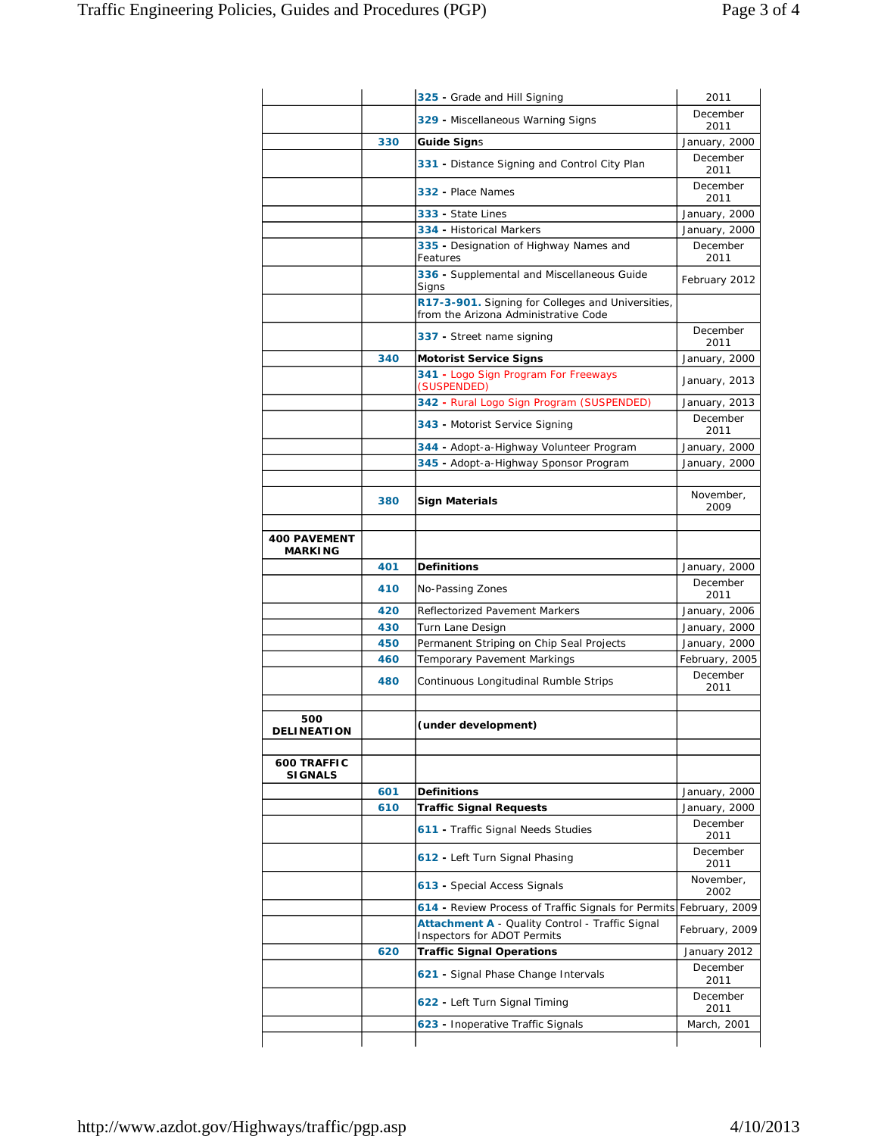|                                       |            | 325 - Grade and Hill Signing                                                              | 2011                                                                                 |
|---------------------------------------|------------|-------------------------------------------------------------------------------------------|--------------------------------------------------------------------------------------|
|                                       |            | 329 - Miscellaneous Warning Signs                                                         | December<br>2011                                                                     |
|                                       | 330        | <b>Guide Signs</b>                                                                        | January, 2000                                                                        |
|                                       |            | 331 - Distance Signing and Control City Plan                                              | December<br>2011                                                                     |
|                                       |            | 332 - Place Names                                                                         | December<br>2011                                                                     |
|                                       |            | 333 - State Lines                                                                         | January, 2000                                                                        |
|                                       |            | 334 - Historical Markers                                                                  | January, 2000                                                                        |
|                                       |            | 335 - Designation of Highway Names and<br>Features                                        | December<br>2011                                                                     |
|                                       |            | 336 - Supplemental and Miscellaneous Guide<br>Signs                                       | February 2012                                                                        |
|                                       |            | R17-3-901. Signing for Colleges and Universities,<br>from the Arizona Administrative Code |                                                                                      |
|                                       |            | 337 - Street name signing                                                                 | December<br>2011                                                                     |
|                                       | 340        | <b>Motorist Service Signs</b>                                                             | January, 2000                                                                        |
|                                       |            | 341 - Logo Sign Program For Freeways<br>(SUSPENDED)                                       | January, 2013                                                                        |
|                                       |            | 342 - Rural Logo Sign Program (SUSPENDED)                                                 | January, 2013                                                                        |
|                                       |            | 343 - Motorist Service Signing                                                            | December<br>2011                                                                     |
|                                       |            | 344 - Adopt-a-Highway Volunteer Program                                                   | January, 2000                                                                        |
|                                       |            | 345 - Adopt-a-Highway Sponsor Program                                                     | January, 2000                                                                        |
|                                       |            |                                                                                           |                                                                                      |
|                                       | 380        | <b>Sign Materials</b>                                                                     | November,<br>2009                                                                    |
| <b>400 PAVEMENT</b><br><b>MARKING</b> |            |                                                                                           |                                                                                      |
|                                       | 401        | <b>Definitions</b>                                                                        | January, 2000                                                                        |
|                                       | 410        | No-Passing Zones                                                                          | December<br>2011                                                                     |
|                                       | 420        | Reflectorized Pavement Markers                                                            | January, 2006                                                                        |
|                                       | 430        | Turn Lane Design                                                                          | January, 2000                                                                        |
|                                       |            | Permanent Striping on Chip Seal Projects                                                  |                                                                                      |
|                                       | 450        |                                                                                           |                                                                                      |
|                                       | 460<br>480 | Temporary Pavement Markings<br>Continuous Longitudinal Rumble Strips                      | December                                                                             |
|                                       |            |                                                                                           | January, 2000<br>February, 2005<br>2011                                              |
| 500<br><b>DELINEATION</b>             |            | (under development)                                                                       |                                                                                      |
| <b>600 TRAFFIC</b>                    |            |                                                                                           |                                                                                      |
| <b>SIGNALS</b>                        | 601        | Definitions                                                                               |                                                                                      |
|                                       | 610        |                                                                                           |                                                                                      |
|                                       |            | <b>Traffic Signal Requests</b><br>611 - Traffic Signal Needs Studies                      | December<br>2011                                                                     |
|                                       |            | 612 - Left Turn Signal Phasing                                                            | December<br>2011                                                                     |
|                                       |            | 613 - Special Access Signals                                                              | November,<br>2002                                                                    |
|                                       |            | 614 - Review Process of Traffic Signals for Permits February, 2009                        |                                                                                      |
|                                       |            | Attachment A - Quality Control - Traffic Signal<br>Inspectors for ADOT Permits            |                                                                                      |
|                                       | 620        |                                                                                           |                                                                                      |
|                                       |            | <b>Traffic Signal Operations</b><br>621 - Signal Phase Change Intervals                   | December<br>2011                                                                     |
|                                       |            | 622 - Left Turn Signal Timing                                                             | January, 2000<br>January, 2000<br>February, 2009<br>January 2012<br>December<br>2011 |